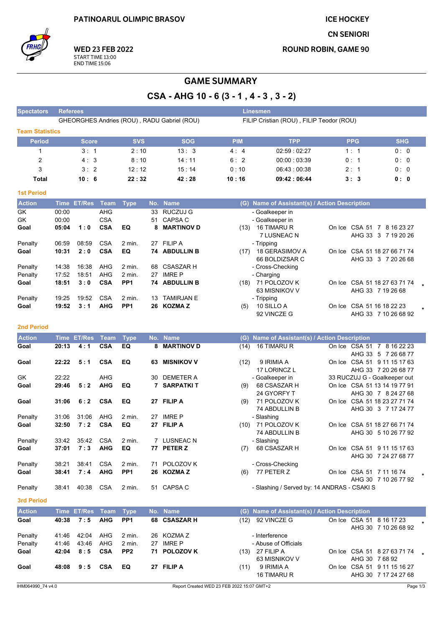**ICE HOCKEY** 

**CN SENIORI** 

**ROUND ROBIN, GAME 90** 



**WED 23 FEB 2022** START TIME 13:00<br>END TIME 15:06

# **GAME SUMMARY**

CSA - AHG 10 - 6 (3 - 1, 4 - 3, 3 - 2)

| <b>Spectators</b>      | <b>Referees</b> |                  |                          |                           |    |                                             |            | <b>Linesmen</b>                               |                                                    |            |  |
|------------------------|-----------------|------------------|--------------------------|---------------------------|----|---------------------------------------------|------------|-----------------------------------------------|----------------------------------------------------|------------|--|
|                        |                 |                  |                          |                           |    | GHEORGHES Andries (ROU), RADU Gabriel (ROU) |            | FILIP Cristian (ROU), FILIP Teodor (ROU)      |                                                    |            |  |
| <b>Team Statistics</b> |                 |                  |                          |                           |    |                                             |            |                                               |                                                    |            |  |
| <b>Period</b>          |                 | <b>Score</b>     |                          | <b>SVS</b>                |    | <b>SOG</b>                                  | <b>PIM</b> | <b>TPP</b>                                    | <b>PPG</b>                                         | <b>SHG</b> |  |
| 1                      |                 | 3:1              |                          | 2:10                      |    | 13:3                                        | 4:4        | 02:59:02:27                                   | 1:1                                                | 0:0        |  |
| $\overline{2}$         |                 | 4:3              |                          | 8:10                      |    | 14:11                                       | 6:2        | 00:00:03:39                                   | 0:1                                                | 0: 0       |  |
| 3                      |                 | 3:2              |                          | 12:12                     |    | 15:14                                       | 0:10       | 06:43:00:38                                   | 2:1                                                | 0:0        |  |
| Total                  |                 | 10:6             |                          | 22:32                     |    | 42:28                                       | 10:16      | 09:42:06:44                                   | 3:3                                                | 0:0        |  |
|                        |                 |                  |                          |                           |    |                                             |            |                                               |                                                    |            |  |
| <b>1st Period</b>      |                 |                  |                          |                           |    |                                             |            |                                               |                                                    |            |  |
| <b>Action</b>          |                 | Time ET/Res Team |                          | <b>Type</b>               |    | No. Name                                    |            | (G) Name of Assistant(s) / Action Description |                                                    |            |  |
| GK                     | 00:00           |                  | AHG                      |                           | 33 | <b>RUCZUJ G</b>                             |            | - Goalkeeper in                               |                                                    |            |  |
| GK                     | 00:00           |                  | <b>CSA</b>               |                           | 51 | <b>CAPSA C</b>                              |            | - Goalkeeper in                               |                                                    |            |  |
| Goal                   | 05:04           | 1:0              | <b>CSA</b>               | EQ                        | 8  | <b>MARTINOV D</b>                           |            | (13) 16 TIMARU R                              | On Ice CSA 51 7 8 16 23 27                         |            |  |
| Penalty                | 06:59           | 08:59            | <b>CSA</b>               | 2 min.                    |    | 27 FILIP A                                  |            | 7 LUSNEAC N<br>- Tripping                     | AHG 33 3 7 19 20 26                                |            |  |
| Goal                   | 10:31           | 2:0              | <b>CSA</b>               | EQ                        |    | 74 ABDULLIN B                               |            | (17) 18 GERASIMOV A                           | On Ice CSA 51 18 27 66 71 74                       |            |  |
|                        |                 |                  |                          |                           |    |                                             |            | 66 BOLDIZSAR C                                | AHG 33 3 7 20 26 68                                |            |  |
| Penalty                | 14:38           | 16:38            | AHG                      | 2 min.                    | 68 | <b>CSASZAR H</b>                            |            | - Cross-Checking                              |                                                    |            |  |
| Penalty                | 17:52           | 18:51            | <b>AHG</b>               | 2 min.                    | 27 | <b>IMRE P</b>                               |            | - Charging                                    |                                                    |            |  |
| Goal                   | 18:51           | 3:0              | <b>CSA</b>               | PP <sub>1</sub>           |    | 74 ABDULLIN B                               |            | (18) 71 POLOZOV K                             | On Ice CSA 51 18 27 63 71 74                       |            |  |
|                        |                 |                  |                          |                           |    |                                             |            | 63 MISNIKOV V                                 | AHG 33 7 19 26 68                                  |            |  |
| Penalty<br>Goal        | 19:25<br>19:52  | 19:52<br>3:1     | <b>CSA</b><br><b>AHG</b> | 2 min.<br>PP <sub>1</sub> | 13 | <b>TAMIRJAN E</b><br>26 KOZMA Z             | (5)        | - Tripping<br>10 SILLO A                      | On Ice CSA 51 16 18 22 23                          |            |  |
|                        |                 |                  |                          |                           |    |                                             |            | 92 VINCZE G                                   | AHG 33 7 10 26 68 92                               |            |  |
|                        |                 |                  |                          |                           |    |                                             |            |                                               |                                                    |            |  |
| <b>2nd Period</b>      |                 |                  |                          |                           |    |                                             |            |                                               |                                                    |            |  |
| <b>Action</b>          |                 | Time ET/Res      | Team                     | <b>Type</b>               |    | No. Name                                    |            | (G) Name of Assistant(s) / Action Description |                                                    |            |  |
| Goal                   | 20:13           | 4:1              | <b>CSA</b>               | EQ                        | 8  | <b>MARTINOV D</b>                           | (14)       | 16 TIMARU R                                   | On Ice CSA 51 7 8 16 22 23                         |            |  |
| Goal                   | 22:22           | 5:1              | <b>CSA</b>               | EQ                        |    | 63 MISNIKOV V                               | (12)       | 9 IRIMIA A                                    | AHG 33 5 7 26 68 77<br>On Ice CSA 51 9 11 15 17 63 |            |  |
|                        |                 |                  |                          |                           |    |                                             |            | 17 LORINCZ L                                  | AHG 33 7 20 26 68 77                               |            |  |
| GK                     | 22:22           |                  | <b>AHG</b>               |                           | 30 | DEMETER A                                   |            | - Goalkeeper in                               | 33 RUCZUJ G - Goalkeeper out                       |            |  |
| Goal                   | 29:46           | 5:2              | <b>AHG</b>               | EQ                        |    | <b>7 SARPATKIT</b>                          | (9)        | 68 CSASZAR H                                  | On Ice CSA 51 13 14 19 77 91                       |            |  |
|                        |                 |                  |                          |                           |    |                                             |            | 24 GYORFY T                                   | AHG 30 7 8 24 27 68                                |            |  |
| Goal                   | 31:06           | 6:2              | <b>CSA</b>               | EQ                        |    | 27 FILIP A                                  | (9)        | 71 POLOZOV K                                  | On Ice CSA 51 18 23 27 71 74                       |            |  |
| Penalty                | 31:06           | 31:06            | AHG                      | 2 min.                    |    | 27 IMRE P                                   |            | 74 ABDULLIN B<br>- Slashing                   | AHG 30 3 7 17 24 77                                |            |  |
| Goal                   | 32:50           | 7:2              | <b>CSA</b>               | EQ                        |    | 27 FILIP A                                  | (10)       | 71 POLOZOV K                                  | On Ice CSA 51 18 27 66 71 74                       |            |  |
|                        |                 |                  |                          |                           |    |                                             |            | 74 ABDULLIN B                                 | AHG 30 5 10 26 77 92                               |            |  |
| Penalty                | 33:42           | 35:42            | <b>CSA</b>               | 2 min.                    |    | 7 LUSNEAC N                                 |            | - Slashing                                    |                                                    |            |  |
| Goal                   | 37:01           | 7:3              | <b>AHG</b>               | EQ                        |    | 77 PETER Z                                  |            | $(7)$ 68 CSASZAR H                            | On Ice CSA 51 9 11 15 17 63                        |            |  |
|                        |                 |                  |                          |                           |    |                                             |            |                                               | AHG 30 7 24 27 68 77                               |            |  |
| Penalty                | 38:21           | 38:41<br>7:4     | <b>CSA</b><br><b>AHG</b> | 2 min.<br>PP <sub>1</sub> |    | 71 POLOZOV K<br>26 KOZMA Z                  |            | - Cross-Checking<br>$(6)$ 77 PETER Z          |                                                    |            |  |
| Goal                   | 38:41           |                  |                          |                           |    |                                             |            |                                               | On Ice CSA 51 7 11 16 74<br>AHG 30 7 10 26 77 92   |            |  |
| Penalty                | 38:41           | 40:38            | CSA                      | 2 min.                    |    | 51 CAPSA C                                  |            | - Slashing / Served by: 14 ANDRAS - CSAKI S   |                                                    |            |  |
|                        |                 |                  |                          |                           |    |                                             |            |                                               |                                                    |            |  |
| 3rd Period             |                 |                  |                          |                           |    |                                             |            |                                               |                                                    |            |  |
| <b>Action</b>          |                 | Time ET/Res      | Team                     | <b>Type</b>               |    | No. Name                                    |            | (G) Name of Assistant(s) / Action Description |                                                    |            |  |
| Goal                   | 40:38           | 7:5              | <b>AHG</b>               | PP <sub>1</sub>           |    | 68 CSASZAR H                                |            | (12) 92 VINCZE G                              | On Ice CSA 51 8 16 17 23                           |            |  |
| Penalty                | 41:46           | 42:04            | AHG                      | 2 min.                    |    | 26 KOZMA Z                                  |            | - Interference                                | AHG 30 7 10 26 68 92                               |            |  |
| Penalty                | 41.46           | 43.46            | AHG                      | 2 min.                    |    | 27 IMRE P                                   |            | - Abuse of Officials                          |                                                    |            |  |
| Goal                   | 42:04           | 8:5              | <b>CSA</b>               | PP <sub>2</sub>           |    | 71 POLOZOV K                                |            | (13) 27 FILIP A                               | On Ice CSA 51 8 27 63 71 74                        |            |  |
|                        |                 |                  |                          |                           |    |                                             |            | 63 MISNIKOV V                                 | AHG 30 7 68 92                                     |            |  |
| Goal                   | 48:08           | 9:5              | <b>CSA</b>               | EQ                        |    | 27 FILIP A                                  | (11)       | 9 IRIMIA A                                    | On Ice CSA 51 9 11 15 16 27                        |            |  |
|                        |                 |                  |                          |                           |    |                                             |            | 16 TIMARU R                                   | AHG 30 7 17 24 27 68                               |            |  |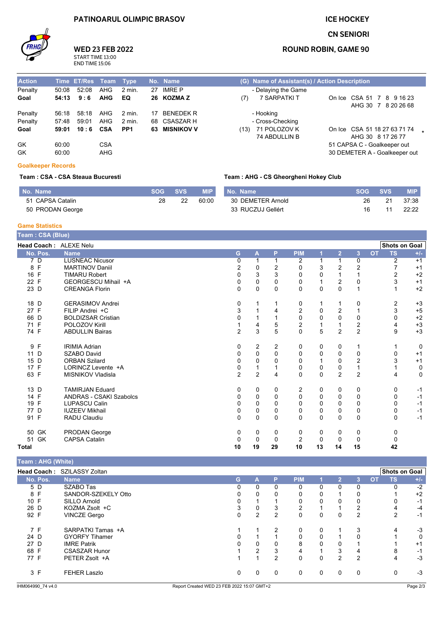### **PATINOARUL OLIMPIC BRASOV**

### **ICE HOCKEY**

### **CN SENIORI**



## **WED 23 FEB 2022** START TIME 13:00<br>END TIME 15:06

### **ROUND ROBIN, GAME 90**

| <b>Action</b> |       | Time ET/Res Team |            | <b>Type</b>     | No. Name      |      | (G) Name of Assistant(s) / Action Description |                               |  |
|---------------|-------|------------------|------------|-----------------|---------------|------|-----------------------------------------------|-------------------------------|--|
| Penalty       | 50:08 | 52:08            | AHG        | 2 min.          | 27 IMRE P     |      | - Delaying the Game                           |                               |  |
| Goal          | 54:13 | 9:6              | <b>AHG</b> | EQ              | 26 KOZMAZ     | (7)  | 7 SARPATKI T                                  | On Ice CSA 51 7 8 9 16 23     |  |
|               |       |                  |            |                 |               |      |                                               | AHG 30 7 8 20 26 68           |  |
| Penalty       | 56:18 | 58:18            | AHG        | 2 min.          | 17 BENEDEK R  |      | - Hooking                                     |                               |  |
| Penalty       | 57:48 | 59:01            | AHG        | 2 min.          | 68 CSASZAR H  |      | - Cross-Checking                              |                               |  |
| Goal          | 59:01 | $10:6$ CSA       |            | PP <sub>1</sub> | 63 MISNIKOV V | (13) | 71 POLOZOV K                                  | On Ice CSA 51 18 27 63 71 74  |  |
|               |       |                  |            |                 |               |      | 74 ABDULLIN B                                 | AHG 30 8 17 26 77             |  |
| GK            | 60.00 |                  | <b>CSA</b> |                 |               |      |                                               | 51 CAPSA C - Goalkeeper out   |  |
| GK            | 60.00 |                  | <b>AHG</b> |                 |               |      |                                               | 30 DEMETER A - Goalkeeper out |  |

#### **Goalkeeper Records**

#### Team : CSA - CSA Steaua Bucuresti

#### Team: AHG - CS Gheorgheni Hokey Club

| No. Name         | <b>SOG</b> | <b>SVS</b> | <b>MIP</b> | No. Name          | <b>SOG</b> | <b>SVS</b> | <b>MIP</b> |
|------------------|------------|------------|------------|-------------------|------------|------------|------------|
| 51 CAPSA Catalin | 28         | つつ         | 60:00      | 30 DEMETER Arnold | 26         | 21         | 37:38      |
| 50 PRODAN George |            |            |            | 33 RUCZUJ Gellért | 16         |            | 22:22      |

#### **Game Statistics**

| Team: CSA (Blue)       |                                |                |                |             |                         |             |                |                  |           |               |             |
|------------------------|--------------------------------|----------------|----------------|-------------|-------------------------|-------------|----------------|------------------|-----------|---------------|-------------|
| Head Coach: ALEXE Nelu |                                |                |                |             |                         |             |                |                  |           | Shots on Goal |             |
| No. Pos.               | <b>Name</b>                    | G              | A              | P           | <b>PIM</b>              | 1           | $\overline{2}$ | $\overline{3}$   | <b>OT</b> | <b>TS</b>     | $+/-$       |
| 7 D                    | <b>LUSNEAC Nicusor</b>         | 0              |                |             | 2                       |             |                | $\mathbf 0$      |           | 2             | $+1$        |
| 8 F                    | <b>MARTINOV Daniil</b>         | 2              | 0              | 2           | $\Omega$                | 3           | $\overline{c}$ | $\overline{2}$   |           |               | $+1$        |
| 16 F                   | <b>TIMARU Robert</b>           | $\Omega$       | 3              | 3           | 0                       | 0           |                | 1                |           | 2             | $+2$        |
| 22 F                   | GEORGESCU Mihail +A            | 0              | $\mathbf 0$    | 0           | 0                       |             | 2              | 0                |           | 3             | $+1$        |
| 23 D                   | <b>CREANGA Florin</b>          | 0              | 0              | $\Omega$    | $\Omega$                | 0           | $\Omega$       | $\mathbf{1}$     |           |               | $+2$        |
| 18 D                   | <b>GERASIMOV Andrei</b>        | 0              |                |             | 0                       |             |                | 0                |           | 2             | $+3$        |
| 27 F                   | FILIP Andrei +C                | 3              |                |             | 2                       | 0           | $\overline{2}$ | 1                |           | 3             | $+5$        |
| 66 D                   | <b>BOLDIZSAR Cristian</b>      | 0              |                |             | $\mathbf 0$             | $\Omega$    | $\Omega$       | $\mathbf 0$      |           | 0             | $+2$        |
| 71 F                   | POLOZOV Kirill                 |                | 4              | 5           | $\overline{\mathbf{c}}$ |             |                | $\boldsymbol{2}$ |           | 4             | $+3$        |
| 74 F                   | <b>ABDULLIN Bairas</b>         | $\overline{2}$ | 3              | 5           | $\Omega$                | 5           | 2              | $\overline{2}$   |           | 9             | $+3$        |
| 9 F                    | <b>IRIMIA Adrian</b>           | 0              | $\overline{2}$ | 2           | 0                       | 0           | 0              | 1                |           |               | 0           |
| 11 D                   | <b>SZABO David</b>             | 0              | $\mathbf 0$    | $\mathbf 0$ | 0                       | 0           | $\mathbf 0$    | $\mathbf 0$      |           | 0             | $+1$        |
| 15 D                   | <b>ORBAN Szilard</b>           | $\Omega$       | $\Omega$       | $\Omega$    | 0                       |             | $\Omega$       | $\overline{2}$   |           | 3             | $+1$        |
| 17 F                   | LORINCZ Levente +A             | 0              |                |             | 0                       | 0           | 0              | $\mathbf{1}$     |           |               | 0           |
| 63 F                   | MISNIKOV Vladisla              | $\overline{2}$ | $\overline{2}$ | 4           | $\Omega$                | $\mathbf 0$ | $\overline{2}$ | $\overline{2}$   |           | 4             | $\mathbf 0$ |
| 13 D                   | <b>TAMIRJAN Eduard</b>         | 0              | 0              | 0           | 2                       | 0           | 0              | 0                |           | 0             | $-1$        |
| 14 F                   | <b>ANDRAS - CSAKI Szabolcs</b> | 0              | 0              | 0           | 0                       | $\Omega$    | 0              | $\mathbf 0$      |           | 0             | $-1$        |
| 19 F                   | <b>LUPASCU Calin</b>           | 0              | 0              | 0           | 0                       | 0           | 0              | 0                |           | 0             | $-1$        |
| 77 D                   | <b>IUZEEV Mikhail</b>          | 0              | $\mathbf 0$    | $\Omega$    | 0                       | $\mathbf 0$ | $\mathbf 0$    | $\pmb{0}$        |           | 0             | $-1$        |
| 91 F                   | <b>RADU Claudiu</b>            | 0              | $\mathbf 0$    | $\Omega$    | 0                       | $\mathbf 0$ | $\mathbf 0$    | $\mathbf 0$      |           | 0             | $-1$        |
| 50 GK                  | PRODAN George                  | 0              | 0              | 0           | 0                       | 0           | 0              | 0                |           | 0             |             |
| 51 GK                  | <b>CAPSA Catalin</b>           | $\Omega$       | $\Omega$       | $\Omega$    | $\overline{2}$          | $\Omega$    | $\Omega$       | $\mathbf 0$      |           | 0             |             |
| Total                  |                                | 10             | 19             | 29          | 10                      | 13          | 14             | 15               |           | 42            |             |

Team: AHG (White)

| Head Coach: SZILASSY Zoltan                                                                  |          |          |   |            |   |                |          |           | <b>Shots on Goal</b> |       |
|----------------------------------------------------------------------------------------------|----------|----------|---|------------|---|----------------|----------|-----------|----------------------|-------|
| <b>Name</b>                                                                                  | G        | A        | P | <b>PIM</b> |   | $\overline{2}$ | 3        | <b>OT</b> | <b>TS</b>            | $+/-$ |
| SZABO Tas                                                                                    | 0        | 0        | 0 | 0          | 0 | $\Omega$       | $\Omega$ |           | $\Omega$             | $-2$  |
| SANDOR-SZEKELY Otto                                                                          | 0        | $\Omega$ | 0 | 0          | 0 |                | $\Omega$ |           |                      | $+2$  |
| <b>SILLO Arnold</b>                                                                          |          |          |   |            | 0 |                | 0        |           |                      | $-1$  |
| KOZMA Zsolt +C                                                                               | 3        | 0        | 3 | 2          |   |                | 2        |           | 4                    | $-4$  |
| <b>VINCZE Gergo</b>                                                                          | $\Omega$ | 2        | 2 | 0          | 0 | 0              | 2        |           | 2                    | $-1$  |
| SARPATKI Tamas +A                                                                            |          |          | 2 | 0          | 0 |                | 3        |           | 4                    | $-3$  |
| <b>GYORFY Tihamer</b>                                                                        | $\Omega$ |          |   | 0          | 0 |                | $\Omega$ |           |                      | 0     |
| <b>IMRE Patrik</b>                                                                           | $\Omega$ | $\Omega$ |   | 8          | 0 |                |          |           |                      | $+1$  |
| <b>CSASZAR Hunor</b>                                                                         |          | 2        | 3 | 4          |   | 3              | 4        |           | 8                    | $-1$  |
| PETER Zsolt +A                                                                               |          |          | 2 | $\Omega$   | 0 | $\overline{2}$ | 2        |           | 4                    | $-3$  |
| <b>FEHER Laszlo</b>                                                                          | 0        | 0        | 0 | 0          | 0 | 0              | $\Omega$ |           | $\Omega$             | -3    |
| No. Pos.<br>5 D<br>8 F<br>10 F<br>26 D<br>92 F<br>7 F<br>24 D<br>27 D<br>68 F<br>77 F<br>3 F |          |          |   |            |   |                |          |           |                      |       |